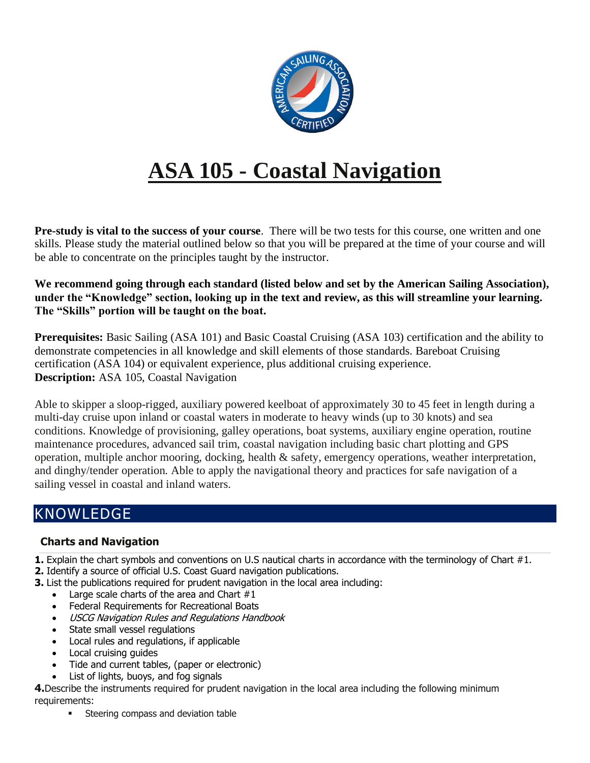

## **ASA 105 - Coastal Navigation**

**Pre-study is vital to the success of your course**. There will be two tests for this course, one written and one skills. Please study the material outlined below so that you will be prepared at the time of your course and will be able to concentrate on the principles taught by the instructor.

**We recommend going through each standard (listed below and set by the American Sailing Association), under the "Knowledge" section, looking up in the text and review, as this will streamline your learning. The "Skills" portion will be taught on the boat.**

**Prerequisites:** Basic Sailing (ASA 101) and Basic Coastal Cruising (ASA 103) certification and the ability to demonstrate competencies in all knowledge and skill elements of those standards. Bareboat Cruising certification (ASA 104) or equivalent experience, plus additional cruising experience. **Description:** ASA 105, Coastal Navigation

Able to skipper a sloop-rigged, auxiliary powered keelboat of approximately 30 to 45 feet in length during a multi-day cruise upon inland or coastal waters in moderate to heavy winds (up to 30 knots) and sea conditions. Knowledge of provisioning, galley operations, boat systems, auxiliary engine operation, routine maintenance procedures, advanced sail trim, coastal navigation including basic chart plotting and GPS operation, multiple anchor mooring, docking, health & safety, emergency operations, weather interpretation, and dinghy/tender operation. Able to apply the navigational theory and practices for safe navigation of a sailing vessel in coastal and inland waters.

## KNOWLEDGE

## **Charts and Navigation**

**1.** Explain the chart symbols and conventions on U.S nautical charts in accordance with the terminology of Chart #1. **2.** Identify a source of official U.S. Coast Guard navigation publications.

- **3.** List the publications required for prudent navigation in the local area including:
	- Large scale charts of the area and Chart  $#1$
	- Federal Requirements for Recreational Boats
	- USCG Navigation Rules and Regulations Handbook
	- State small vessel regulations
	- Local rules and regulations, if applicable
	- Local cruising guides
	- Tide and current tables, (paper or electronic)
	- List of lights, buoys, and fog signals

**4.**Describe the instruments required for prudent navigation in the local area including the following minimum requirements:

■ Steering compass and deviation table